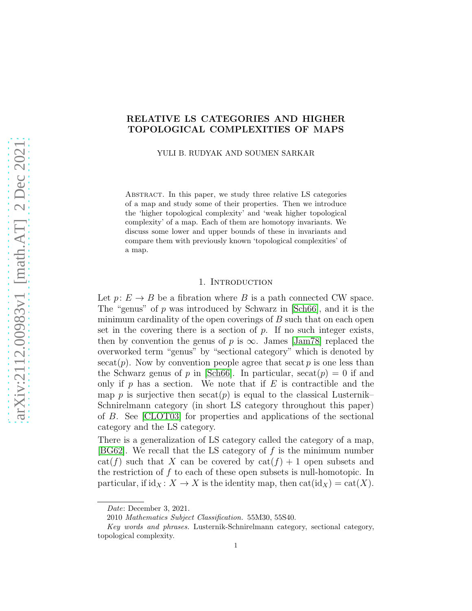# RELATIVE LS CATEGORIES AND HIGHER TOPOLOGICAL COMPLEXITIES OF MAPS

YULI B. RUDYAK AND SOUMEN SARKAR

Abstract. In this paper, we study three relative LS categories of a map and study some of their properties. Then we introduce the 'higher topological complexity' and 'weak higher topological complexity' of a map. Each of them are homotopy invariants. We discuss some lower and upper bounds of these in invariants and compare them with previously known 'topological complexities' of a map.

## 1. INTRODUCTION

Let  $p: E \to B$  be a fibration where B is a path connected CW space. The "genus" of p was introduced by Schwarz in [\[Sch66\]](#page-16-0), and it is the minimum cardinality of the open coverings of  $B$  such that on each open set in the covering there is a section of  $p$ . If no such integer exists, then by convention the genus of p is  $\infty$ . James [\[Jam78\]](#page-16-1) replaced the overworked term "genus" by "sectional category" which is denoted by  $\secat(p)$ . Now by convention people agree that  $\secat p$  is one less than the Schwarz genus of p in [\[Sch66\]](#page-16-0). In particular,  ${\rm secat}(p) = 0$  if and only if p has a section. We note that if  $E$  is contractible and the map p is surjective then  $\operatorname{secat}(p)$  is equal to the classical Lusternik– Schnirelmann category (in short LS category throughout this paper) of B. See [\[CLOT03\]](#page-15-0) for properties and applications of the sectional category and the LS category.

There is a generalization of LS category called the category of a map, [\[BG62\]](#page-15-1). We recall that the LS category of  $f$  is the minimum number  $cat(f)$  such that X can be covered by  $cat(f) + 1$  open subsets and the restriction of f to each of these open subsets is null-homotopic. In particular, if  $\mathrm{id}_X \colon X \to X$  is the identity map, then  $\mathrm{cat}(\mathrm{id}_X) = \mathrm{cat}(X)$ .

Date: December 3, 2021.

<sup>2010</sup> Mathematics Subject Classification. 55M30, 55S40.

Key words and phrases. Lusternik-Schnirelmann category, sectional category, topological complexity.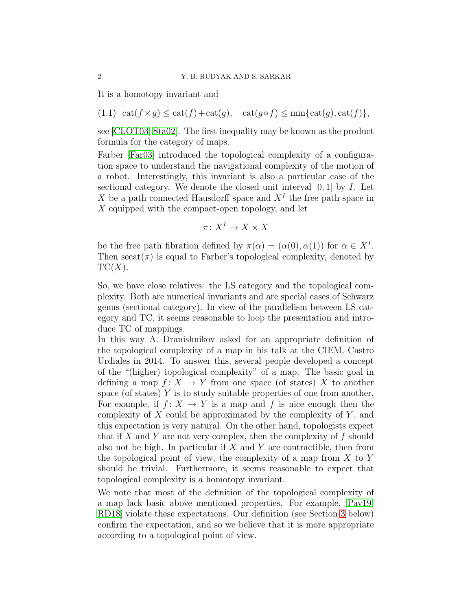It is a homotopy invariant and

<span id="page-1-0"></span>
$$
(1.1) \ \ \mathrm{cat}(f \times g) \le \mathrm{cat}(f) + \mathrm{cat}(g), \quad \mathrm{cat}(g \circ f) \le \min\{\mathrm{cat}(g), \mathrm{cat}(f)\},
$$

see [\[CLOT03,](#page-15-0) [Sta02\]](#page-16-2). The first inequality may be known as the product formula for the category of maps.

Farber [\[Far03\]](#page-15-2) introduced the topological complexity of a configuration space to understand the navigational complexity of the motion of a robot. Interestingly, this invariant is also a particular case of the sectional category. We denote the closed unit interval  $[0, 1]$  by I. Let X be a path connected Hausdorff space and  $X<sup>I</sup>$  the free path space in  $X$  equipped with the compact-open topology, and let

$$
\pi\colon X^I\to X\times X
$$

be the free path fibration defined by  $\pi(\alpha) = (\alpha(0), \alpha(1))$  for  $\alpha \in X^I$ . Then  $\secat(\pi)$  is equal to Farber's topological complexity, denoted by  $TC(X)$ .

So, we have close relatives: the LS category and the topological complexity. Both are numerical invariants and are special cases of Schwarz genus (sectional category). In view of the parallelism between LS category and TC, it seems reasonable to loop the presentation and introduce TC of mappings.

In this way A. Dranishnikov asked for an appropriate definition of the topological complexity of a map in his talk at the CIEM, Castro Urdiales in 2014. To answer this, several people developed a concept of the "(higher) topological complexity" of a map. The basic goal in defining a map  $f: X \to Y$  from one space (of states) X to another space (of states)  $Y$  is to study suitable properties of one from another. For example, if  $f: X \to Y$  is a map and f is nice enough then the complexity of  $X$  could be approximated by the complexity of  $Y$ , and this expectation is very natural. On the other hand, topologists expect that if  $X$  and  $Y$  are not very complex, then the complexity of  $f$  should also not be high. In particular if  $X$  and  $Y$  are contractible, then from the topological point of view, the complexity of a map from  $X$  to  $Y$ should be trivial. Furthermore, it seems reasonable to expect that topological complexity is a homotopy invariant.

We note that most of the definition of the topological complexity of a map lack basic above mentioned properties. For example, [\[Pav19,](#page-16-3) [RD18\]](#page-16-4) violate these expectations. Our definition (see Section [3](#page-9-0) below) confirm the expectation, and so we believe that it is more appropriate according to a topological point of view.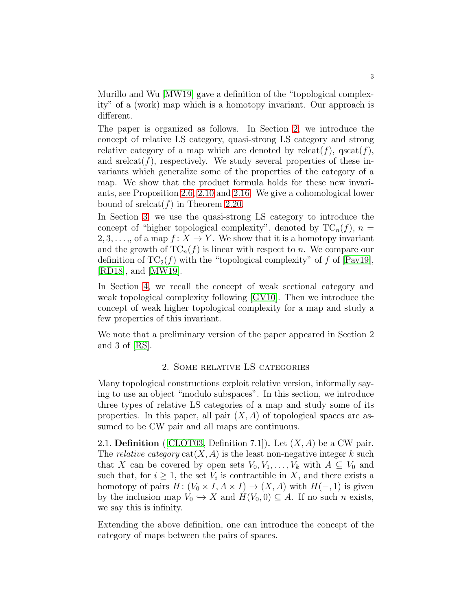Murillo and Wu [\[MW19\]](#page-16-5) gave a definition of the "topological complexity" of a (work) map which is a homotopy invariant. Our approach is different.

The paper is organized as follows. In Section [2,](#page-2-0) we introduce the concept of relative LS category, quasi-strong LS category and strong relative category of a map which are denoted by releat(f),  $\operatorname{qscat}(f)$ , and srelcat $(f)$ , respectively. We study several properties of these invariants which generalize some of the properties of the category of a map. We show that the product formula holds for these new invariants, see Proposition [2.6,](#page-3-0) [2.10](#page-5-0) and [2.16.](#page-6-0) We give a cohomological lower bound of sreleat( $f$ ) in Theorem [2.20.](#page-8-0)

In Section [3,](#page-9-0) we use the quasi-strong LS category to introduce the concept of "higher topological complexity", denoted by  $TC_n(f)$ ,  $n =$ 2, 3, ..., of a map  $f: X \to Y$ . We show that it is a homotopy invariant and the growth of  $TC_n(f)$  is linear with respect to n. We compare our definition of  $TC_2(f)$  with the "topological complexity" of f of [\[Pav19\]](#page-16-3), [\[RD18\]](#page-16-4), and [\[MW19\]](#page-16-5).

In Section [4,](#page-13-0) we recall the concept of weak sectional category and weak topological complexity following [\[GV10\]](#page-15-3). Then we introduce the concept of weak higher topological complexity for a map and study a few properties of this invariant.

<span id="page-2-0"></span>We note that a preliminary version of the paper appeared in Section 2 and 3 of [\[RS\]](#page-16-6).

#### 2. Some relative LS categories

Many topological constructions exploit relative version, informally saying to use an object "modulo subspaces". In this section, we introduce three types of relative LS categories of a map and study some of its properties. In this paper, all pair  $(X, A)$  of topological spaces are assumed to be CW pair and all maps are continuous.

<span id="page-2-1"></span>2.1. **Definition** ([\[CLOT03,](#page-15-0) Definition 7.1]). Let  $(X, A)$  be a CW pair. The *relative category*  $cat(X, A)$  is the least non-negative integer k such that X can be covered by open sets  $V_0, V_1, \ldots, V_k$  with  $A \subseteq V_0$  and such that, for  $i \geq 1$ , the set  $V_i$  is contractible in X, and there exists a homotopy of pairs  $H: (V_0 \times I, A \times I) \to (X, A)$  with  $H(-, 1)$  is given by the inclusion map  $V_0 \hookrightarrow X$  and  $H(V_0, 0) \subseteq A$ . If no such n exists, we say this is infinity.

Extending the above definition, one can introduce the concept of the category of maps between the pairs of spaces.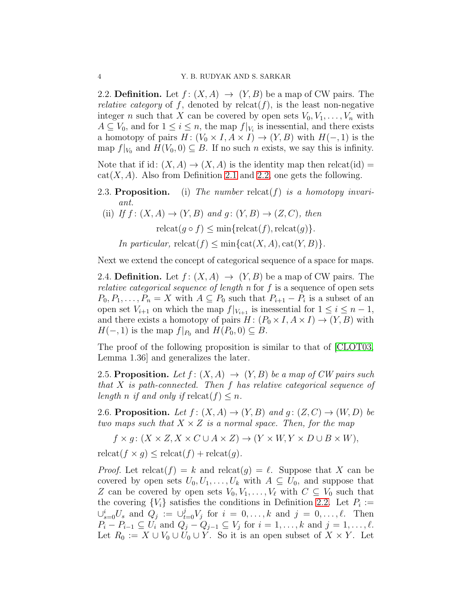<span id="page-3-1"></span>2.2. **Definition.** Let  $f: (X, A) \rightarrow (Y, B)$  be a map of CW pairs. The *relative category* of f, denoted by  $relcat(f)$ , is the least non-negative integer n such that X can be covered by open sets  $V_0, V_1, \ldots, V_n$  with  $A \subseteq V_0$ , and for  $1 \leq i \leq n$ , the map  $f|_{V_i}$  is inessential, and there exists a homotopy of pairs  $H: (V_0 \times I, A \times I) \to (Y, B)$  with  $H(-, 1)$  is the map  $f|_{V_0}$  and  $H(V_0, 0) \subseteq B$ . If no such n exists, we say this is infinity.

Note that if id:  $(X, A) \rightarrow (X, A)$  is the identity map then releat(id) =  $cat(X, A)$ . Also from Definition [2.1](#page-2-1) and [2.2,](#page-3-1) one gets the following.

- 2.3. Proposition. (i) The number releat(f) is a homotopy invariant.
- (ii) If  $f: (X, A) \rightarrow (Y, B)$  and  $g: (Y, B) \rightarrow (Z, C)$ , then  $relcat(q \circ f) \leq min\{relcat(f),relcat(q)\}.$ In particular,  $relcat(f) \leq min\{cat(X, A), cat(Y, B)\}.$

Next we extend the concept of categorical sequence of a space for maps.

2.4. **Definition.** Let  $f: (X, A) \rightarrow (Y, B)$  be a map of CW pairs. The *relative categorical sequence of length n* for  $f$  is a sequence of open sets  $P_0, P_1, \ldots, P_n = X$  with  $A \subseteq P_0$  such that  $P_{i+1} - P_i$  is a subset of an open set  $V_{i+1}$  on which the map  $f|_{V_{i+1}}$  is inessential for  $1 \leq i \leq n-1$ , and there exists a homotopy of pairs  $H: (P_0 \times I, A \times I) \to (Y, B)$  with  $H(-, 1)$  is the map  $f|_{P_0}$  and  $H(P_0, 0) \subseteq B$ .

The proof of the following proposition is similar to that of [\[CLOT03,](#page-15-0) Lemma 1.36] and generalizes the later.

<span id="page-3-2"></span>2.5. Proposition. Let  $f: (X, A) \rightarrow (Y, B)$  be a map of CW pairs such that  $X$  is path-connected. Then  $f$  has relative categorical sequence of length n if and only if  $relcat(f) \leq n$ .

<span id="page-3-0"></span>2.6. Proposition. Let  $f: (X, A) \rightarrow (Y, B)$  and  $g: (Z, C) \rightarrow (W, D)$  be two maps such that  $X \times Z$  is a normal space. Then, for the map

 $f \times q$  :  $(X \times Z, X \times C \cup A \times Z) \rightarrow (Y \times W, Y \times D \cup B \times W)$ ,

 $relcat(f \times g) \le relcat(f) + relcat(g).$ 

*Proof.* Let relcat $(f) = k$  and relcat $(g) = \ell$ . Suppose that X can be covered by open sets  $U_0, U_1, \ldots, U_k$  with  $A \subseteq U_0$ , and suppose that Z can be covered by open sets  $V_0, V_1, \ldots, V_\ell$  with  $C \subseteq V_0$  such that the covering  ${V_i}$  satisfies the conditions in Definition [2.2.](#page-3-1) Let  $P_i :=$  $\bigcup_{s=0}^{i} U_s$  and  $Q_j := \bigcup_{t=0}^{j} V_j$  for  $i = 0, \ldots, k$  and  $j = 0, \ldots, \ell$ . Then  $P_i - P_{i-1} \subseteq U_i$  and  $Q_j - Q_{j-1} \subseteq V_j$  for  $i = 1, \ldots, k$  and  $j = 1, \ldots, \ell$ . Let  $R_0 := X \cup V_0 \cup U_0 \cup Y$ . So it is an open subset of  $X \times Y$ . Let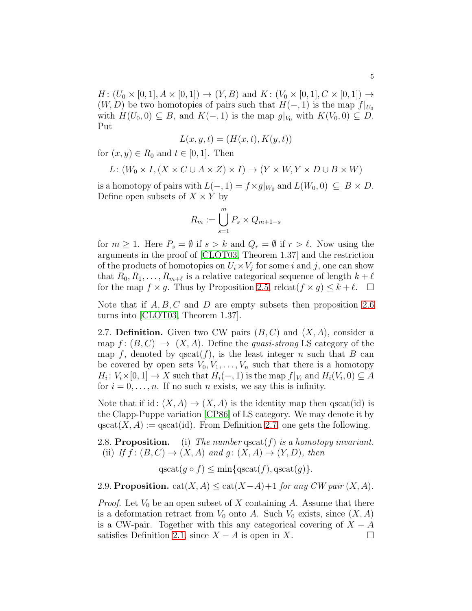$H: (U_0 \times [0, 1], A \times [0, 1]) \to (Y, B)$  and  $K: (V_0 \times [0, 1], C \times [0, 1]) \to$  $(W, D)$  be two homotopies of pairs such that  $H(-, 1)$  is the map  $f|_{U_0}$ with  $H(U_0, 0) \subseteq B$ , and  $K(-, 1)$  is the map  $g|_{V_0}$  with  $K(V_0, 0) \subseteq D$ . Put

$$
L(x, y, t) = (H(x, t), K(y, t))
$$

for  $(x, y) \in R_0$  and  $t \in [0, 1]$ . Then

$$
L: (W_0 \times I, (X \times C \cup A \times Z) \times I) \to (Y \times W, Y \times D \cup B \times W)
$$

is a homotopy of pairs with  $L(-, 1) = f \times g|_{W_0}$  and  $L(W_0, 0) \subseteq B \times D$ . Define open subsets of  $X \times Y$  by

$$
R_m := \bigcup_{s=1}^m P_s \times Q_{m+1-s}
$$

for  $m \geq 1$ . Here  $P_s = \emptyset$  if  $s > k$  and  $Q_r = \emptyset$  if  $r > \ell$ . Now using the arguments in the proof of [\[CLOT03,](#page-15-0) Theorem 1.37] and the restriction of the products of homotopies on  $U_i \times V_j$  for some i and j, one can show that  $R_0, R_1, \ldots, R_{m+\ell}$  is a relative categorical sequence of length  $k+\ell$ for the map  $f \times g$ . Thus by Proposition [2.5,](#page-3-2) releat $(f \times g) \leq k + \ell$ .  $\Box$ 

Note that if  $A, B, C$  and D are empty subsets then proposition [2.6](#page-3-0) turns into [\[CLOT03,](#page-15-0) Theorem 1.37].

<span id="page-4-0"></span>2.7. **Definition.** Given two CW pairs  $(B, C)$  and  $(X, A)$ , consider a map  $f: (B, C) \rightarrow (X, A)$ . Define the *quasi-strong* LS category of the map f, denoted by  $qscat(f)$ , is the least integer n such that B can be covered by open sets  $V_0, V_1, \ldots, V_n$  such that there is a homotopy  $H_i: V_i \times [0,1] \to X$  such that  $H_i(-,1)$  is the map  $f|_{V_i}$  and  $H_i(V_i,0) \subseteq A$ for  $i = 0, \ldots, n$ . If no such n exists, we say this is infinity.

Note that if id:  $(X, A) \to (X, A)$  is the identity map then qscat(id) is the Clapp-Puppe variation [\[CP86\]](#page-15-4) of LS category. We may denote it by  $\text{qscat}(X, A) := \text{qscat}(\text{id})$ . From Definition [2.7,](#page-4-0) one gets the following.

2.8. **Proposition.** (i) The number  $\text{qscat}(f)$  is a homotopy invariant. (ii) If  $f: (B, C) \rightarrow (X, A)$  and  $g: (X, A) \rightarrow (Y, D)$ , then

qscat $(g \circ f) \le \min\{\text{qscat}(f), \text{qscat}(g)\}.$ 

<span id="page-4-1"></span>2.9. Proposition. cat $(X, A) \leq \text{cat}(X-A)+1$  for any CW pair  $(X, A)$ .

*Proof.* Let  $V_0$  be an open subset of X containing A. Assume that there is a deformation retract from  $V_0$  onto A. Such  $V_0$  exists, since  $(X, A)$ is a CW-pair. Together with this any categorical covering of  $X - A$ satisfies Definition [2.1,](#page-2-1) since  $X - A$  is open in X.  $\Box$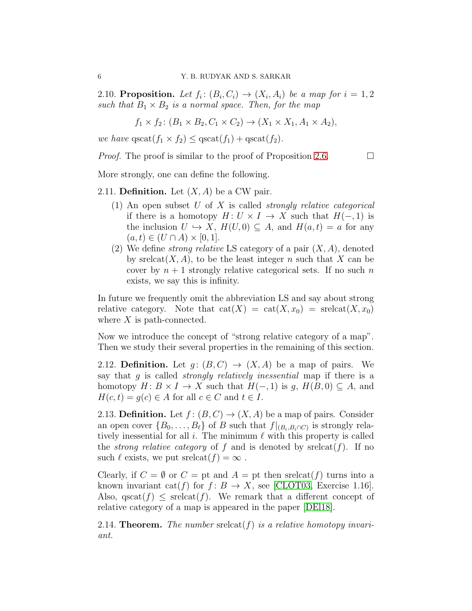<span id="page-5-0"></span>2.10. Proposition. Let  $f_i: (B_i, C_i) \rightarrow (X_i, A_i)$  be a map for  $i = 1, 2$ such that  $B_1 \times B_2$  is a normal space. Then, for the map

$$
f_1 \times f_2
$$
:  $(B_1 \times B_2, C_1 \times C_2) \to (X_1 \times X_1, A_1 \times A_2),$ 

we have  $\text{qscat}(f_1 \times f_2) \leq \text{qscat}(f_1) + \text{qscat}(f_2)$ .

*Proof.* The proof is similar to the proof of Proposition [2.6.](#page-3-0)  $\Box$ 

More strongly, one can define the following.

<span id="page-5-1"></span>2.11. **Definition.** Let  $(X, A)$  be a CW pair.

- (1) An open subset U of X is called *strongly relative categorical* if there is a homotopy  $H: U \times I \to X$  such that  $H(-, 1)$  is the inclusion  $U \hookrightarrow X$ ,  $H(U, 0) \subseteq A$ , and  $H(a, t) = a$  for any  $(a, t) \in (U \cap A) \times [0, 1].$
- (2) We define *strong relative* LS category of a pair  $(X, A)$ , denoted by sreleat $(X, A)$ , to be the least integer n such that X can be cover by  $n + 1$  strongly relative categorical sets. If no such n exists, we say this is infinity.

In future we frequently omit the abbreviation LS and say about strong relative category. Note that  $cat(X) = cat(X, x_0) = srelcat(X, x_0)$ where  $X$  is path-connected.

Now we introduce the concept of "strong relative category of a map". Then we study their several properties in the remaining of this section.

<span id="page-5-2"></span>2.12. Definition. Let  $g: (B, C) \to (X, A)$  be a map of pairs. We say that g is called *strongly relatively inessential* map if there is a homotopy  $H: B \times I \to X$  such that  $H(-, 1)$  is g,  $H(B, 0) \subseteq A$ , and  $H(c, t) = g(c) \in A$  for all  $c \in C$  and  $t \in I$ .

<span id="page-5-3"></span>2.13. Definition. Let  $f: (B, C) \to (X, A)$  be a map of pairs. Consider an open cover  $\{B_0, \ldots, B_\ell\}$  of B such that  $f|_{(B_i, B_i \cap C)}$  is strongly relatively inessential for all i. The minimum  $\ell$  with this property is called the *strong relative category* of f and is denoted by  $srelcat(f)$ . If no such  $\ell$  exists, we put sreleat $(f) = \infty$ .

Clearly, if  $C = \emptyset$  or  $C =$  pt and  $A =$  pt then sreleat(f) turns into a known invariant cat(f) for  $f: B \to X$ , see [\[CLOT03,](#page-15-0) Exercise 1.16]. Also,  $\text{qscat}(f) \leq \text{select}(f)$ . We remark that a different concept of relative category of a map is appeared in the paper [\[DEl18\]](#page-15-5).

2.14. **Theorem.** The number sreleat(f) is a relative homotopy invariant.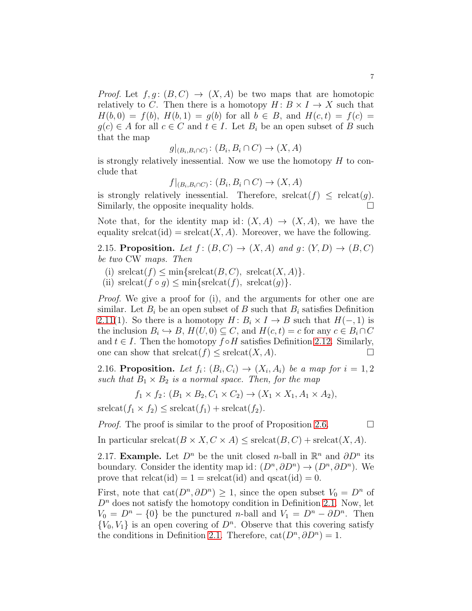*Proof.* Let  $f, g : (B, C) \rightarrow (X, A)$  be two maps that are homotopic relatively to C. Then there is a homotopy  $H: B \times I \to X$  such that  $H(b, 0) = f(b), H(b, 1) = q(b)$  for all  $b \in B$ , and  $H(c, t) = f(c)$  $g(c) \in A$  for all  $c \in C$  and  $t \in I$ . Let  $B_i$  be an open subset of B such that the map

 $g|_{(B_i,B_i\cap C)}\colon (B_i,B_i\cap C)\to (X,A)$ 

is strongly relatively inessential. Now we use the homotopy  $H$  to conclude that

 $f|_{(B_i,B_i\cap C)}\colon (B_i,B_i\cap C)\to (X,A)$ 

is strongly relatively inessential. Therefore,  $\mathrm{select}(f) \leq \mathrm{relcat}(g)$ . Similarly, the opposite inequality holds.

Note that, for the identity map id:  $(X, A) \rightarrow (X, A)$ , we have the equality srelcat(id) =  $\mathrm{srelcat}(X, A)$ . Moreover, we have the following.

<span id="page-6-2"></span>2.15. Proposition. Let  $f: (B, C) \rightarrow (X, A)$  and  $g: (Y, D) \rightarrow (B, C)$ be two CW maps. Then

(i)  $\text{srelcat}(f) \le \min\{\text{srelcat}(B, C), \text{srelcat}(X, A)\}.$ 

(ii)  $\text{srelcat}(f \circ g) \leq \min\{\text{srelcat}(f), \text{srelcat}(g)\}.$ 

Proof. We give a proof for (i), and the arguments for other one are similar. Let  $B_i$  be an open subset of B such that  $B_i$  satisfies Definition [2.11\(](#page-5-1)1). So there is a homotopy  $H: B_i \times I \to B$  such that  $H(-, 1)$  is the inclusion  $B_i \hookrightarrow B$ ,  $H(U, 0) \subseteq C$ , and  $H(c, t) = c$  for any  $c \in B_i \cap C$ and  $t \in I$ . Then the homotopy  $f \circ H$  satisfies Definition [2.12.](#page-5-2) Similarly, one can show that  $\mathrm{srelcat}(f) \leq \mathrm{srelcat}(X, A)$ .

<span id="page-6-0"></span>2.16. Proposition. Let  $f_i: (B_i, C_i) \rightarrow (X_i, A_i)$  be a map for  $i = 1, 2$ such that  $B_1 \times B_2$  is a normal space. Then, for the map

$$
f_1 \times f_2 \colon (B_1 \times B_2, C_1 \times C_2) \to (X_1 \times X_1, A_1 \times A_2),
$$

 $srelcat(f_1 \times f_2) \leq srelcat(f_1) + srelcat(f_2).$ 

*Proof.* The proof is similar to the proof of Proposition [2.6.](#page-3-0)  $\Box$ 

In particular srelcat $(B \times X, C \times A) \leq$  srelcat $(B, C)$  + srelcat $(X, A)$ .

<span id="page-6-1"></span>2.17. Example. Let  $D^n$  be the unit closed *n*-ball in  $\mathbb{R}^n$  and  $\partial D^n$  its boundary. Consider the identity map id:  $(D^n, \partial D^n) \to (D^n, \partial D^n)$ . We prove that  $relcat(id) = 1 = srelcat(id)$  and  $qscat(id) = 0$ .

First, note that  $cat(D^n, \partial D^n) \geq 1$ , since the open subset  $V_0 = D^n$  of  $D<sup>n</sup>$  does not satisfy the homotopy condition in Definition [2.1.](#page-2-1) Now, let  $V_0 = D^n - \{0\}$  be the punctured *n*-ball and  $V_1 = D^n - \partial D^n$ . Then  $\{V_0, V_1\}$  is an open covering of  $D^n$ . Observe that this covering satisfy the conditions in Definition [2.1.](#page-2-1) Therefore,  $cat(D^n, \partial D^n) = 1$ .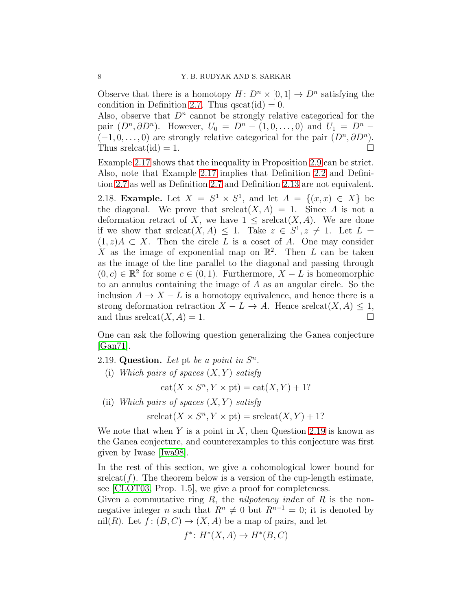Observe that there is a homotopy  $H: D^n \times [0,1] \to D^n$  satisfying the condition in Definition [2.7.](#page-4-0) Thus  $qscat(id) = 0$ .

Also, observe that  $D^n$  cannot be strongly relative categorical for the pair  $(D^n, \partial D^n)$ . However,  $U_0 = D^n - (1, 0, \dots, 0)$  and  $U_1 = D^n (-1,0,\ldots,0)$  are strongly relative categorical for the pair  $(D^n, \partial D^n)$ . Thus sreleat(id) = 1.

Example [2.17](#page-6-1) shows that the inequality in Proposition [2.9](#page-4-1) can be strict. Also, note that Example [2.17](#page-6-1) implies that Definition [2.2](#page-3-1) and Definition [2.7](#page-4-0) as well as Definition [2.7](#page-4-0) and Definition [2.13](#page-5-3) are not equivalent.

<span id="page-7-1"></span>2.18. Example. Let  $X = S^1 \times S^1$ , and let  $A = \{(x, x) \in X\}$  be the diagonal. We prove that  $\mathrm{selcat}(X, A) = 1$ . Since A is not a deformation retract of X, we have  $1 \leq \text{select}(X, A)$ . We are done if we show that  $\text{srelcat}(X, A) \leq 1$ . Take  $z \in S^1, z \neq 1$ . Let  $L =$  $(1, z)A \subset X$ . Then the circle L is a coset of A. One may consider X as the image of exponential map on  $\mathbb{R}^2$ . Then L can be taken as the image of the line parallel to the diagonal and passing through  $(0, c) \in \mathbb{R}^2$  for some  $c \in (0, 1)$ . Furthermore,  $X - L$  is homeomorphic to an annulus containing the image of A as an angular circle. So the inclusion  $A \to X - L$  is a homotopy equivalence, and hence there is a strong deformation retraction  $X - L \to A$ . Hence srelcat $(X, A) \leq 1$ , and thus srelcat $(X, A) = 1$ .

One can ask the following question generalizing the Ganea conjecture  $|Gam71|$ .

<span id="page-7-0"></span>2.19. Question. Let pt be a point in  $S<sup>n</sup>$ .

(i) Which pairs of spaces  $(X, Y)$  satisfy

 $cat(X \times S^n, Y \times pt) = cat(X, Y) + 1?$ 

(ii) Which pairs of spaces  $(X, Y)$  satisfy

 $\operatorname{srelcat}(X \times S^n, Y \times \text{pt}) = \operatorname{srelcat}(X, Y) + 1?$ 

We note that when Y is a point in X, then Question [2.19](#page-7-0) is known as the Ganea conjecture, and counterexamples to this conjecture was first given by Iwase [\[Iwa98\]](#page-16-7).

In the rest of this section, we give a cohomological lower bound for  $srelcat(f)$ . The theorem below is a version of the cup-length estimate, see [\[CLOT03,](#page-15-0) Prop. 1.5], we give a proof for completeness.

Given a commutative ring  $R$ , the *nilpotency index* of  $R$  is the nonnegative integer n such that  $R^n \neq 0$  but  $R^{n+1} = 0$ ; it is denoted by nil(R). Let  $f: (B, C) \to (X, A)$  be a map of pairs, and let

$$
f^* \colon H^*(X, A) \to H^*(B, C)
$$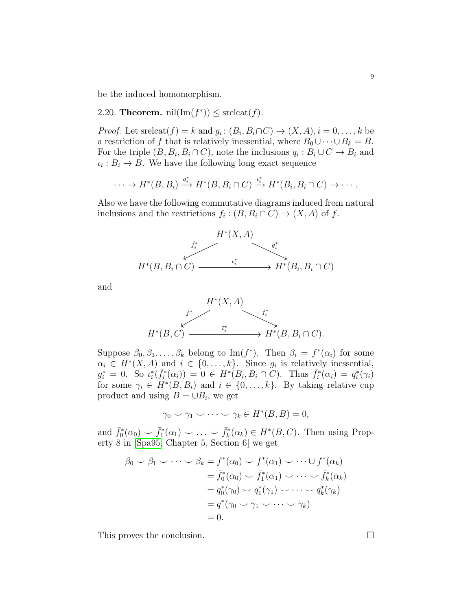be the induced homomorphism.

<span id="page-8-0"></span>2.20. **Theorem.**  $\text{nil}(\text{Im}(f^*)) \leq \text{srelcat}(f)$ .

*Proof.* Let srelcat $(f) = k$  and  $g_i: (B_i, B_i \cap C) \to (X, A), i = 0, \ldots, k$  be a restriction of f that is relatively inessential, where  $B_0 \cup \cdots \cup B_k = B$ . For the triple  $(B, B_i, B_i \cap C)$ , note the inclusions  $q_i : B_i \cup C \to B_i$  and  $\iota_i : B_i \to B$ . We have the following long exact sequence

$$
\cdots \to H^*(B, B_i) \xrightarrow{q_i^*} H^*(B, B_i \cap C) \xrightarrow{\iota_i^*} H^*(B_i, B_i \cap C) \to \cdots
$$

Also we have the following commutative diagrams induced from natural inclusions and the restrictions  $f_i : (B, B_i \cap C) \to (X, A)$  of f.



and



Suppose  $\beta_0, \beta_1, \ldots, \beta_k$  belong to Im( $f^*$ ). Then  $\beta_i = f^*(\alpha_i)$  for some  $\alpha_i \in H^*(X, A)$  and  $i \in \{0, \ldots, k\}$ . Since  $g_i$  is relatively inessential,  $g_i^* = 0$ . So  $\iota_i^*$  $\sum_{i}^{*}(\bar{f}_{i}^{*}% ,\bar{f}_{i}^{*})_{i}^{*}$  $\bar{f}_i^*(\alpha_i) = 0 \in H^*(B_i, B_i \cap C)$ . Thus  $\bar{f}_i^*$  $\bar{f}_i^*(\alpha_i) = q_i^*$  $_i^*(\gamma_i)$ for some  $\gamma_i \in H^*(B, B_i)$  and  $i \in \{0, \ldots, k\}$ . By taking relative cup product and using  $B = \cup B_i$ , we get

$$
\gamma_0 \smile \gamma_1 \smile \cdots \smile \gamma_k \in H^*(B, B) = 0,
$$

and  $\bar{f}_0^*$  $\bar{f}_0^*(\alpha_0) \smile \bar{f}_1^*$  $\bar{f}_1^*(\alpha_1) \smile \ldots \smile \bar{f}_k^*$  $\overline{K}_k^*(\alpha_k) \in H^*(B, C)$ . Then using Property 8 in [\[Spa95,](#page-16-8) Chapter 5, Section 6] we get

$$
\beta_0 \smile \beta_1 \smile \cdots \smile \beta_k = f^*(\alpha_0) \smile f^*(\alpha_1) \smile \cdots \smile f^*(\alpha_k)
$$
  
\n
$$
= \bar{f}_0^*(\alpha_0) \smile \bar{f}_1^*(\alpha_1) \smile \cdots \smile \bar{f}_k^*(\alpha_k)
$$
  
\n
$$
= q_0^*(\gamma_0) \smile q_1^*(\gamma_1) \smile \cdots \smile q_k^*(\gamma_k)
$$
  
\n
$$
= q^*(\gamma_0 \smile \gamma_1 \smile \cdots \smile \gamma_k)
$$
  
\n
$$
= 0.
$$

This proves the conclusion.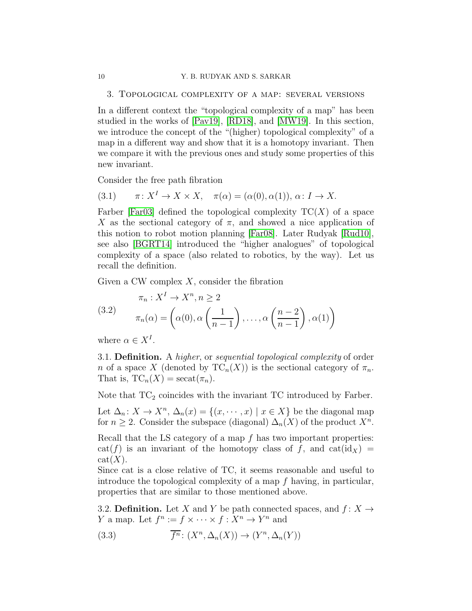### 3. Topological complexity of a map: several versions

In a different context the "topological complexity of a map" has been studied in the works of [\[Pav19\]](#page-16-3), [\[RD18\]](#page-16-4), and [\[MW19\]](#page-16-5). In this section, we introduce the concept of the "(higher) topological complexity" of a map in a different way and show that it is a homotopy invariant. Then we compare it with the previous ones and study some properties of this new invariant.

Consider the free path fibration

<span id="page-9-1"></span>(3.1) 
$$
\pi: X^I \to X \times X, \quad \pi(\alpha) = (\alpha(0), \alpha(1)), \alpha: I \to X.
$$

Farber [\[Far03\]](#page-15-2) defined the topological complexity  $TC(X)$  of a space X as the sectional category of  $\pi$ , and showed a nice application of this notion to robot motion planning [\[Far08\]](#page-15-7). Later Rudyak [\[Rud10\]](#page-16-9), see also [\[BGRT14\]](#page-15-8) introduced the "higher analogues" of topological complexity of a space (also related to robotics, by the way). Let us recall the definition.

Given a CW complex  $X$ , consider the fibration

<span id="page-9-3"></span>(3.2) 
$$
\pi_n: X^I \to X^n, n \ge 2
$$

$$
\pi_n(\alpha) = \left(\alpha(0), \alpha\left(\frac{1}{n-1}\right), \dots, \alpha\left(\frac{n-2}{n-1}\right), \alpha(1)\right)
$$

where  $\alpha \in X^I$ .

3.1. Definition. A higher, or sequential topological complexity of order n of a space X (denoted by  $TC_n(X)$ ) is the sectional category of  $\pi_n$ . That is,  $TC_n(X) = \operatorname{secat}(\pi_n)$ .

Note that  $TC_2$  coincides with the invariant TC introduced by Farber.

Let  $\Delta_n: X \to X^n$ ,  $\Delta_n(x) = \{(x, \dots, x) \mid x \in X\}$  be the diagonal map for  $n \geq 2$ . Consider the subspace (diagonal)  $\Delta_n(X)$  of the product  $X^n$ .

Recall that the LS category of a map  $f$  has two important properties:  $cat(f)$  is an invariant of the homotopy class of f, and  $cat(id_X)$  =  $cat(X).$ 

Since cat is a close relative of TC, it seems reasonable and useful to introduce the topological complexity of a map f having, in particular, properties that are similar to those mentioned above.

<span id="page-9-2"></span>3.2. **Definition.** Let X and Y be path connected spaces, and  $f: X \rightarrow$ Y a map. Let  $f^n := f \times \cdots \times f : X^n \to Y^n$  and

(3.3) 
$$
\overline{f^n} \colon (X^n, \Delta_n(X)) \to (Y^n, \Delta_n(Y))
$$

<span id="page-9-0"></span>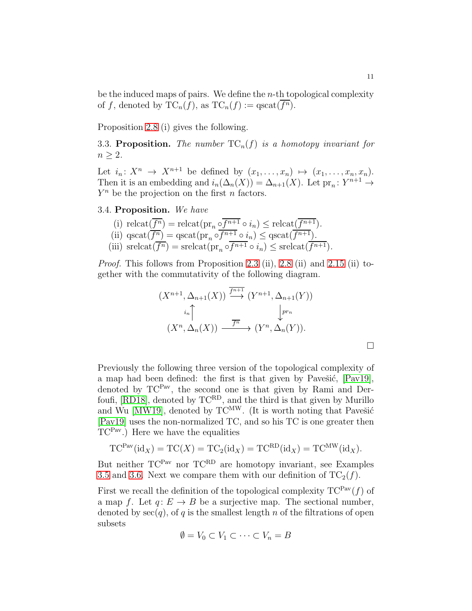be the induced maps of pairs. We define the  $n$ -th topological complexity of f, denoted by  $TC_n(f)$ , as  $TC_n(f) := \text{qscat}(\overline{f^n})$ .

Proposition 2.8 (i) gives the following.

3.3. Proposition. The number  $TC_n(f)$  is a homotopy invariant for  $n > 2$ .

Let  $i_n: X^n \to X^{n+1}$  be defined by  $(x_1, \ldots, x_n) \mapsto (x_1, \ldots, x_n, x_n)$ . Then it is an embedding and  $i_n(\Delta_n(X)) = \Delta_{n+1}(X)$ . Let  $\text{pr}_n: Y^{n+1} \to Y^{n+1}$  $Y<sup>n</sup>$  be the projection on the first *n* factors.

<span id="page-10-0"></span>3.4. Proposition. We have

(i) 
$$
\text{relcat}(\overline{f^n}) = \text{relcat}(\text{pr}_n \circ \overline{f^{n+1}} \circ i_n) \leq \text{relcat}(\overline{f^{n+1}}).
$$
  
\n(ii)  $\text{qscat}(\overline{f^n}) = \text{qscat}(\text{pr}_n \circ \overline{f^{n+1}} \circ i_n) \leq \text{qscat}(\overline{f^{n+1}}).$   
\n(iii)  $\text{srelcat}(\overline{f^n}) = \text{srelcat}(\text{pr}_n \circ \overline{f^{n+1}} \circ i_n) \leq \text{srelcat}(\overline{f^{n+1}}).$ 

Proof. This follows from Proposition 2.3 (ii), 2.8 (ii) and [2.15](#page-6-2) (ii) together with the commutativity of the following diagram.

$$
(X^{n+1}, \Delta_{n+1}(X)) \xrightarrow{\overline{f^{n+1}}} (Y^{n+1}, \Delta_{n+1}(Y))
$$

$$
\xrightarrow{i_n} \downarrow^{pr_n}
$$

$$
(X^n, \Delta_n(X)) \xrightarrow{\overline{f^n}} (Y^n, \Delta_n(Y)).
$$

Previously the following three version of the topological complexity of a map had been defined: the first is that given by Pavešić,  $[Par19]$ , denoted by TC<sup>Pav</sup>, the second one is that given by Rami and Derfoufi, [\[RD18\]](#page-16-4), denoted by TCRD, and the third is that given by Murillo and Wu [\[MW19\]](#page-16-5), denoted by  $TC^{MW}$ . (It is worth noting that Pavešić [\[Pav19\]](#page-16-3) uses the non-normalized TC, and so his TC is one greater then  $TC<sup>Pav</sup>$ .) Here we have the equalities

$$
TC^{Pav}(\mathrm{id}_X) = TC(X) = TC_2(\mathrm{id}_X) = TC^{RD}(\mathrm{id}_X) = TC^{MW}(\mathrm{id}_X).
$$

But neither  $TC^{Pav}$  nor  $TC^{RD}$  are homotopy invariant, see Examples [3.5](#page-11-0) and [3.6.](#page-12-0) Next we compare them with our definition of  $TC_2(f)$ .

First we recall the definition of the topological complexity  $TC^{Pav}(f)$  of a map f. Let  $q: E \to B$  be a surjective map. The sectional number, denoted by  $\sec(q)$ , of q is the smallest length n of the filtrations of open subsets

$$
\emptyset = V_0 \subset V_1 \subset \cdots \subset V_n = B
$$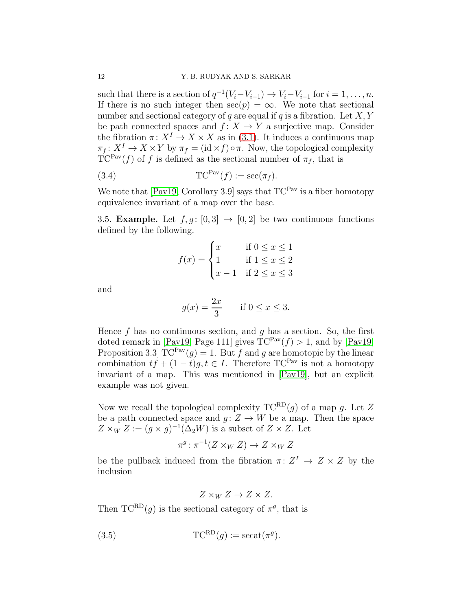such that there is a section of  $q^{-1}(V_i - V_{i-1}) \to V_i - V_{i-1}$  for  $i = 1, ..., n$ . If there is no such integer then  $\sec(p) = \infty$ . We note that sectional number and sectional category of q are equal if q is a fibration. Let  $X, Y$ be path connected spaces and  $f: X \to Y$  a surjective map. Consider the fibration  $\pi: X^I \to X \times X$  as in [\(3.1\)](#page-9-1). It induces a continuous map  $\pi_f: X^I \to X \times Y$  by  $\pi_f = (\mathrm{id} \times f) \circ \pi$ . Now, the topological complexity  $TC^{Pav}(f)$  of f is defined as the sectional number of  $\pi_f$ , that is

(3.4) 
$$
TC^{Pav}(f) := \sec(\pi_f).
$$

We note that  $[Pay19, Corollary 3.9]$  says that  $TC^{Pav}$  is a fiber homotopy equivalence invariant of a map over the base.

<span id="page-11-0"></span>3.5. **Example.** Let  $f, g : [0, 3] \rightarrow [0, 2]$  be two continuous functions defined by the following.

$$
f(x) = \begin{cases} x & \text{if } 0 \le x \le 1 \\ 1 & \text{if } 1 \le x \le 2 \\ x - 1 & \text{if } 2 \le x \le 3 \end{cases}
$$

and

$$
g(x) = \frac{2x}{3} \quad \text{if } 0 \le x \le 3.
$$

Hence f has no continuous section, and q has a section. So, the first doted remark in [\[Pav19,](#page-16-3) Page 111] gives  $TC^{Pav}(f) > 1$ , and by [Pav19, Proposition 3.3  $TC^{Pav}(g) = 1$ . But f and g are homotopic by the linear combination  $tf + (1-t)q, t \in I$ . Therefore TC<sup>Pav</sup> is not a homotopy invariant of a map. This was mentioned in [\[Pav19\]](#page-16-3), but an explicit example was not given.

Now we recall the topological complexity  $TC^{RD}(g)$  of a map g. Let Z be a path connected space and  $g: Z \to W$  be a map. Then the space  $Z \times_W Z := (g \times g)^{-1}(\Delta_2 W)$  is a subset of  $Z \times Z$ . Let

$$
\pi^g \colon \pi^{-1}(Z \times_W Z) \to Z \times_W Z
$$

be the pullback induced from the fibration  $\pi: Z^I \to Z \times Z$  by the inclusion

$$
Z \times_W Z \to Z \times Z.
$$

Then  $TC^{RD}(g)$  is the sectional category of  $\pi^g$ , that is

(3.5) 
$$
TC^{RD}(g) := \secat(\pi^g).
$$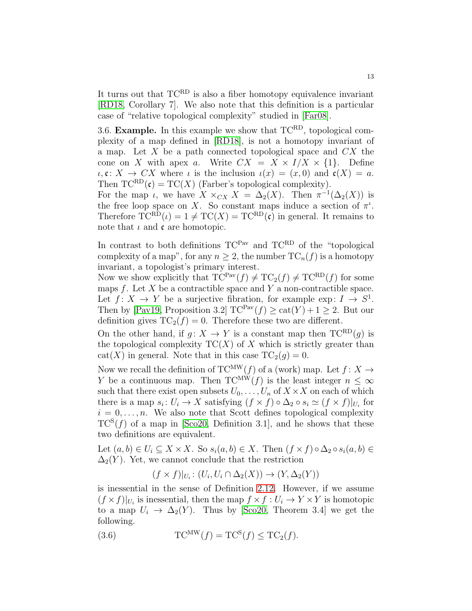It turns out that  $TC^{RD}$  is also a fiber homotopy equivalence invariant [\[RD18,](#page-16-4) Corollary 7]. We also note that this definition is a particular case of "relative topological complexity" studied in [\[Far08\]](#page-15-7).

<span id="page-12-0"></span>3.6. **Example.** In this example we show that  $TC^{RD}$ , topological complexity of a map defined in [\[RD18\]](#page-16-4), is not a homotopy invariant of a map. Let  $X$  be a path connected topological space and  $CX$  the cone on X with apex a. Write  $CX = X \times I/X \times \{1\}$ . Define  $\iota, \mathfrak{c}: X \to CX$  where  $\iota$  is the inclusion  $\iota(x) = (x, 0)$  and  $\mathfrak{c}(X) = a$ . Then  $TC^{RD}(\mathfrak{c}) = TC(X)$  (Farber's topological complexity).

For the map *i*, we have  $X \times_{CX} X = \Delta_2(X)$ . Then  $\pi^{-1}(\Delta_2(X))$  is the free loop space on X. So constant maps induce a section of  $\pi^{\iota}$ . Therefore  $TC^{RD}(\iota) = 1 \neq TC(X) = TC^{RD}(\iota)$  in general. It remains to note that  $\iota$  and  $\mathfrak c$  are homotopic.

In contrast to both definitions  $TC^{Pav}$  and  $TC^{RD}$  of the "topological complexity of a map", for any  $n \geq 2$ , the number  $TC_n(f)$  is a homotopy invariant, a topologist's primary interest.

Now we show explicitly that  $TC^{Par}(f) \neq TC_2(f) \neq TC^{RD}(f)$  for some maps  $f$ . Let  $X$  be a contractible space and  $Y$  a non-contractible space. Let  $f: X \to Y$  be a surjective fibration, for example exp:  $I \to S^1$ . Then by [\[Pav19,](#page-16-3) Proposition 3.2]  $TC^{Pav}(f) \geq cat(Y) + 1 \geq 2$ . But our definition gives  $TC_2(f) = 0$ . Therefore these two are different.

On the other hand, if  $g: X \to Y$  is a constant map then  $TC^{RD}(g)$  is the topological complexity  $TC(X)$  of X which is strictly greater than cat(X) in general. Note that in this case  $TC_2(g) = 0$ .

Now we recall the definition of  $TC^{MW}(f)$  of a (work) map. Let  $f: X \rightarrow$ Y be a continuous map. Then  $TC^M W(f)$  is the least integer  $n \leq \infty$ such that there exist open subsets  $U_0, \ldots, U_n$  of  $X \times X$  on each of which there is a map  $s_i: U_i \to X$  satisfying  $(f \times f) \circ \Delta_2 \circ s_i \simeq (f \times f)|_{U_i}$  for  $i = 0, \ldots, n$ . We also note that Scott defines topological complexity  $TC^{S}(f)$  of a map in [\[Sco20,](#page-16-10) Definition 3.1], and he shows that these two definitions are equivalent.

Let  $(a, b) \in U_i \subseteq X \times X$ . So  $s_i(a, b) \in X$ . Then  $(f \times f) \circ \Delta_2 \circ s_i(a, b) \in$  $\Delta_2(Y)$ . Yet, we cannot conclude that the restriction

$$
(f \times f)|_{U_i} \colon (U_i, U_i \cap \Delta_2(X)) \to (Y, \Delta_2(Y))
$$

is inessential in the sense of Definition [2.12.](#page-5-2) However, if we assume  $(f \times f)|_{U_i}$  is inessential, then the map  $f \times f : U_i \to Y \times Y$  is homotopic to a map  $U_i \rightarrow \Delta_2(Y)$ . Thus by [\[Sco20,](#page-16-10) Theorem 3.4] we get the following.

(3.6) 
$$
TC^{MW}(f) = TC^{S}(f) \le TC_2(f).
$$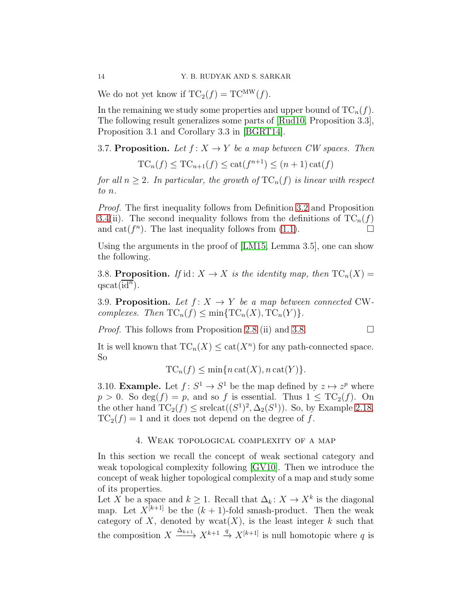We do not yet know if  $TC_2(f) = TC^{MW}(f)$ .

In the remaining we study some properties and upper bound of  $TC_n(f)$ . The following result generalizes some parts of [\[Rud10,](#page-16-9) Proposition 3.3], Proposition 3.1 and Corollary 3.3 in [\[BGRT14\]](#page-15-8).

3.7. Proposition. Let  $f: X \to Y$  be a map between CW spaces. Then

 $TC_n(f) \le TC_{n+1}(f) \le cat(f^{n+1}) \le (n+1)\cat(f)$ 

for all  $n \geq 2$ . In particular, the growth of  $TC_n(f)$  is linear with respect to n.

Proof. The first inequality follows from Definition [3.2](#page-9-2) and Proposition [3.4\(](#page-10-0)ii). The second inequality follows from the definitions of  $TC_n(f)$ and cat( $f^n$ ). The last inequality follows from [\(1.1\)](#page-1-0).

Using the arguments in the proof of [\[LM15,](#page-16-11) Lemma 3.5], one can show the following.

<span id="page-13-1"></span>3.8. Proposition. If id:  $X \to X$  is the identity map, then  $TC_n(X) =$  $qscat(\overline{id^n}).$ 

3.9. Proposition. Let  $f: X \rightarrow Y$  be a map between connected CWcomplexes. Then  $TC_n(f) \leq \min\{TC_n(X), TC_n(Y)\}.$ 

*Proof.* This follows from Proposition 2.8 (ii) and [3.8.](#page-13-1)

It is well known that  $TC_n(X) \leq \text{cat}(X^n)$  for any path-connected space. So

$$
TC_n(f) \le \min\{n \operatorname{cat}(X), n \operatorname{cat}(Y)\}.
$$

3.10. **Example.** Let  $f: S^1 \to S^1$  be the map defined by  $z \mapsto z^p$  where  $p > 0$ . So deg(f) = p, and so f is essential. Thus  $1 \leq TC_2(f)$ . On the other hand  $TC_2(f) \le \text{srelcat}((S^1)^2, \Delta_2(S^1))$ . So, by Example [2.18,](#page-7-1)  $TC_2(f) = 1$  and it does not depend on the degree of f.

### 4. Weak topological complexity of a map

<span id="page-13-0"></span>In this section we recall the concept of weak sectional category and weak topological complexity following [\[GV10\]](#page-15-3). Then we introduce the concept of weak higher topological complexity of a map and study some of its properties.

Let X be a space and  $k \geq 1$ . Recall that  $\Delta_k: X \to X^k$  is the diagonal map. Let  $X^{[k+1]}$  be the  $(k+1)$ -fold smash-product. Then the weak category of X, denoted by  $wcat(X)$ , is the least integer k such that the composition  $X \xrightarrow{\Delta_{k+1}} X^{k+1} \xrightarrow{q} X^{[k+1]}$  is null homotopic where q is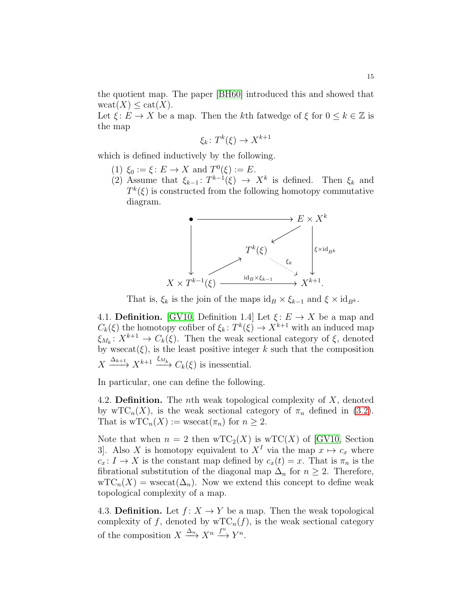the quotient map. The paper [\[BH60\]](#page-15-9) introduced this and showed that  $\mathrm{wcat}(X) \leq \mathrm{cat}(X)$ .

Let  $\xi: E \to X$  be a map. Then the kth fatwedge of  $\xi$  for  $0 \le k \in \mathbb{Z}$  is the map

$$
\xi_k \colon T^k(\xi) \to X^{k+1}
$$

which is defined inductively by the following.

- (1)  $\xi_0 := \xi : E \to X$  and  $T^0(\xi) := E$ .
- (2) Assume that  $\xi_{k-1}$ :  $T^{k-1}(\xi) \to X^k$  is defined. Then  $\xi_k$  and  $T^k(\xi)$  is constructed from the following homotopy commutative diagram.



That is,  $\xi_k$  is the join of the maps  $\mathrm{id}_B \times \xi_{k-1}$  and  $\xi \times \mathrm{id}_{B^k}$ .

4.1. **Definition.** [\[GV10,](#page-15-3) Definition 1.4] Let  $\xi: E \to X$  be a map and  $C_k(\xi)$  the homotopy cofiber of  $\xi_k: T^k(\xi) \to X^{k+1}$  with an induced map  $\xi_{M_k}: X^{k+1} \to C_k(\xi)$ . Then the weak sectional category of  $\xi$ , denoted by  $w$ secat $(\xi)$ , is the least positive integer k such that the composition  $X \xrightarrow{\Delta_{k+1}} X^{k+1} \xrightarrow{\xi_{M_k}} C_k(\xi)$  is inessential.

In particular, one can define the following.

4.2. **Definition.** The *n*th weak topological complexity of  $X$ , denoted by wTC<sub>n</sub>(X), is the weak sectional category of  $\pi_n$  defined in [\(3.2\)](#page-9-3). That is  $\mathrm{wTC}_n(X) := \mathrm{wsecat}(\pi_n)$  for  $n \geq 2$ .

Note that when  $n = 2$  then  $wTC_2(X)$  is  $wTC(X)$  of [\[GV10,](#page-15-3) Section 3. Also X is homotopy equivalent to  $X<sup>I</sup>$  via the map  $x \mapsto c_x$  where  $c_x: I \to X$  is the constant map defined by  $c_x(t) = x$ . That is  $\pi_n$  is the fibrational substitution of the diagonal map  $\Delta_n$  for  $n \geq 2$ . Therefore,  $\mathrm{wTC}_n(X) = \mathrm{wsecat}(\Delta_n)$ . Now we extend this concept to define weak topological complexity of a map.

<span id="page-14-0"></span>4.3. **Definition.** Let  $f: X \to Y$  be a map. Then the weak topological complexity of f, denoted by  $\mathrm{wTC}_n(f)$ , is the weak sectional category of the composition  $X \xrightarrow{\Delta_n} X^n \xrightarrow{f^n} Y^n$ .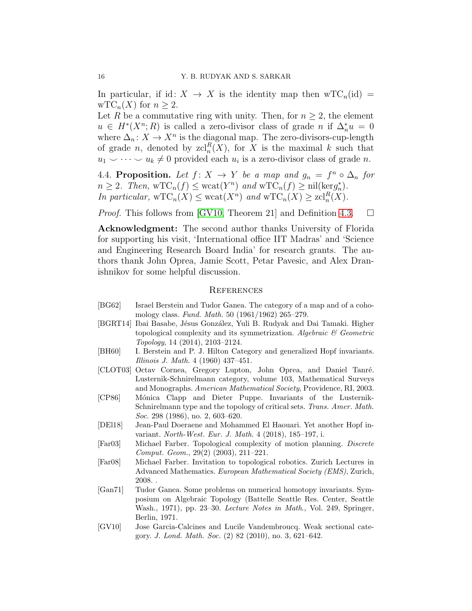In particular, if id:  $X \to X$  is the identity map then  $\mathrm{wTC}_n(\mathrm{id}) =$  $\mathrm{wTC}_n(X)$  for  $n \geq 2$ .

Let R be a commutative ring with unity. Then, for  $n \geq 2$ , the element  $u \in H^*(X^n; R)$  is called a zero-divisor class of grade n if  $\Delta_n^* u = 0$ where  $\Delta_n: X \to X^n$  is the diagonal map. The zero-divisors-cup-length of grade *n*, denoted by  $\mathrm{zcl}_n^R(X)$ , for X is the maximal k such that  $u_1 \smile \cdots \smile u_k \neq 0$  provided each  $u_i$  is a zero-divisor class of grade n.

4.4. Proposition. Let  $f: X \to Y$  be a map and  $g_n = f^n \circ \Delta_n$  for  $n \geq 2$ . Then,  $\operatorname{wTC}_n(f) \leq \operatorname{wcat}(Y^n)$  and  $\operatorname{wTC}_n(f) \geq \operatorname{nil}(\ker g_n^*)$  $_{n}^{\ast}$ . In particular,  $\mathrm{wTC}_n(X) \leq \mathrm{wcat}(X^n)$  and  $\mathrm{wTC}_n(X) \geq \mathrm{zcl}_n^R(X)$ .

*Proof.* This follows from [\[GV10,](#page-15-3) Theorem 21] and Definition [4.3.](#page-14-0)  $\Box$ 

Acknowledgment: The second author thanks University of Florida for supporting his visit, 'International office IIT Madras' and 'Science and Engineering Research Board India' for research grants. The authors thank John Oprea, Jamie Scott, Petar Pavesic, and Alex Dranishnikov for some helpful discussion.

#### **REFERENCES**

- <span id="page-15-1"></span>[BG62] Israel Berstein and Tudor Ganea. The category of a map and of a cohomology class. Fund. Math. 50 (1961/1962) 265–279.
- <span id="page-15-8"></span>[BGRT14] Ibai Basabe, Jésus González, Yuli B. Rudyak and Dai Tamaki. Higher topological complexity and its symmetrization. Algebraic  $\mathcal C$  Geometric Topology, 14 (2014), 2103–2124.
- <span id="page-15-9"></span>[BH60] I. Berstein and P. J. Hilton Category and generalized Hopf invariants. Illinois J. Math. 4 (1960) 437–451.
- <span id="page-15-0"></span>[CLOT03] Octav Cornea, Gregory Lupton, John Oprea, and Daniel Tanré. Lusternik-Schnirelmann category, volume 103, Mathematical Surveys and Monographs. American Mathematical Society, Providence, RI, 2003.
- <span id="page-15-4"></span>[CP86] M´onica Clapp and Dieter Puppe. Invariants of the Lusternik-Schnirelmann type and the topology of critical sets. Trans. Amer. Math. Soc. 298 (1986), no. 2, 603-620.
- <span id="page-15-5"></span>[DEl18] Jean-Paul Doeraene and Mohammed El Haouari. Yet another Hopf invariant. North-West. Eur. J. Math. 4 (2018), 185–197, i.
- <span id="page-15-2"></span>[Far03] Michael Farber. Topological complexity of motion planning. Discrete Comput. Geom., 29(2) (2003), 211–221.
- <span id="page-15-7"></span>[Far08] Michael Farber. Invitation to topological robotics. Zurich Lectures in Advanced Mathematics. European Mathematical Society (EMS), Zurich, 2008. .
- <span id="page-15-6"></span>[Gan71] Tudor Ganea. Some problems on numerical homotopy invariants. Symposium on Algebraic Topology (Battelle Seattle Res. Center, Seattle Wash., 1971), pp. 23–30. Lecture Notes in Math., Vol. 249, Springer, Berlin, 1971.
- <span id="page-15-3"></span>[GV10] Jose Garcia-Calcines and Lucile Vandembroucq. Weak sectional category. J. Lond. Math. Soc. (2) 82 (2010), no. 3, 621–642.